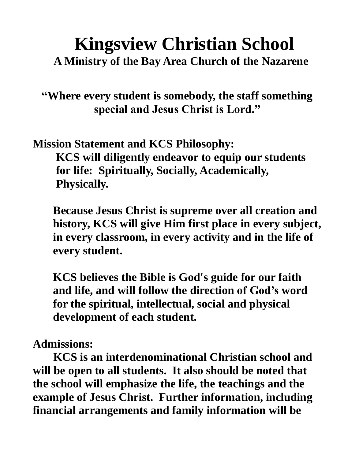# **Kingsview Christian School A Ministry of the Bay Area Church of the Nazarene**

**"Where every student is somebody, the staff something special and Jesus Christ is Lord."**

**Mission Statement and KCS Philosophy: KCS will diligently endeavor to equip our students for life: Spiritually, Socially, Academically, Physically.**

 **Because Jesus Christ is supreme over all creation and history, KCS will give Him first place in every subject, in every classroom, in every activity and in the life of every student.**

 **KCS believes the Bible is God's guide for our faith and life, and will follow the direction of God's word for the spiritual, intellectual, social and physical development of each student.**

**Admissions:**

**KCS is an interdenominational Christian school and will be open to all students. It also should be noted that the school will emphasize the life, the teachings and the example of Jesus Christ. Further information, including financial arrangements and family information will be**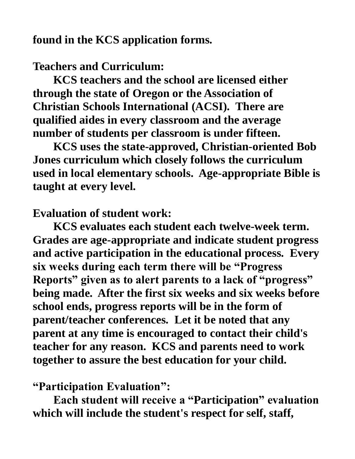**found in the KCS application forms.**

#### **Teachers and Curriculum:**

**KCS teachers and the school are licensed either through the state of Oregon or the Association of Christian Schools International (ACSI). There are qualified aides in every classroom and the average number of students per classroom is under fifteen.**

**KCS uses the state-approved, Christian-oriented Bob Jones curriculum which closely follows the curriculum used in local elementary schools. Age-appropriate Bible is taught at every level.** 

### **Evaluation of student work:**

**KCS evaluates each student each twelve-week term. Grades are age-appropriate and indicate student progress and active participation in the educational process. Every six weeks during each term there will be "Progress Reports" given as to alert parents to a lack of "progress" being made. After the first six weeks and six weeks before school ends, progress reports will be in the form of parent/teacher conferences. Let it be noted that any parent at any time is encouraged to contact their child's teacher for any reason. KCS and parents need to work together to assure the best education for your child.**

#### **"Participation Evaluation":**

**Each student will receive a "Participation" evaluation which will include the student's respect for self, staff,**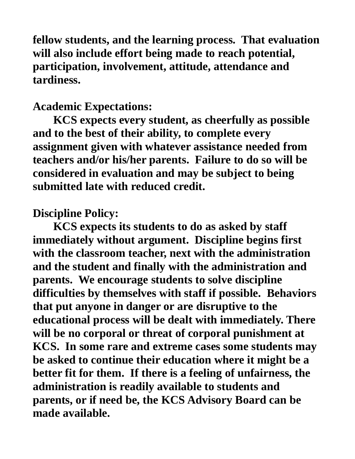**fellow students, and the learning process. That evaluation will also include effort being made to reach potential, participation, involvement, attitude, attendance and tardiness.** 

#### **Academic Expectations:**

**KCS expects every student, as cheerfully as possible and to the best of their ability, to complete every assignment given with whatever assistance needed from teachers and/or his/her parents. Failure to do so will be considered in evaluation and may be subject to being submitted late with reduced credit.**

## **Discipline Policy:**

**KCS expects its students to do as asked by staff immediately without argument. Discipline begins first with the classroom teacher, next with the administration and the student and finally with the administration and parents. We encourage students to solve discipline difficulties by themselves with staff if possible. Behaviors that put anyone in danger or are disruptive to the educational process will be dealt with immediately. There will be no corporal or threat of corporal punishment at KCS. In some rare and extreme cases some students may be asked to continue their education where it might be a better fit for them. If there is a feeling of unfairness, the administration is readily available to students and parents, or if need be, the KCS Advisory Board can be made available.**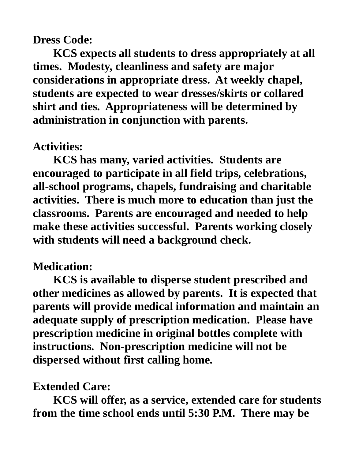## **Dress Code:**

**KCS expects all students to dress appropriately at all times. Modesty, cleanliness and safety are major considerations in appropriate dress. At weekly chapel, students are expected to wear dresses/skirts or collared shirt and ties. Appropriateness will be determined by administration in conjunction with parents.**

# **Activities:**

**KCS has many, varied activities. Students are encouraged to participate in all field trips, celebrations, all-school programs, chapels, fundraising and charitable activities. There is much more to education than just the classrooms. Parents are encouraged and needed to help make these activities successful. Parents working closely with students will need a background check.**

# **Medication:**

**KCS is available to disperse student prescribed and other medicines as allowed by parents. It is expected that parents will provide medical information and maintain an adequate supply of prescription medication. Please have prescription medicine in original bottles complete with instructions. Non-prescription medicine will not be dispersed without first calling home.**

# **Extended Care:**

**KCS will offer, as a service, extended care for students from the time school ends until 5:30 P.M. There may be**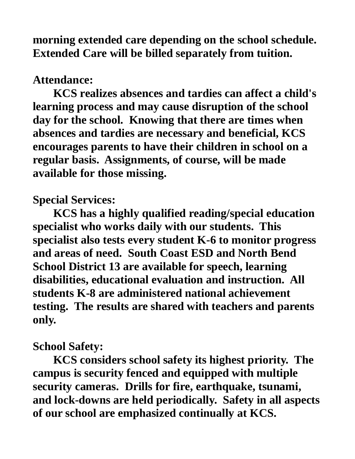**morning extended care depending on the school schedule. Extended Care will be billed separately from tuition.** 

## **Attendance:**

**KCS realizes absences and tardies can affect a child's learning process and may cause disruption of the school day for the school. Knowing that there are times when absences and tardies are necessary and beneficial, KCS encourages parents to have their children in school on a regular basis. Assignments, of course, will be made available for those missing.**

**Special Services:**

**KCS has a highly qualified reading/special education specialist who works daily with our students. This specialist also tests every student K-6 to monitor progress and areas of need. South Coast ESD and North Bend School District 13 are available for speech, learning disabilities, educational evaluation and instruction. All students K-8 are administered national achievement testing. The results are shared with teachers and parents only.**

#### **School Safety:**

**KCS considers school safety its highest priority. The campus is security fenced and equipped with multiple security cameras. Drills for fire, earthquake, tsunami, and lock-downs are held periodically. Safety in all aspects of our school are emphasized continually at KCS.**